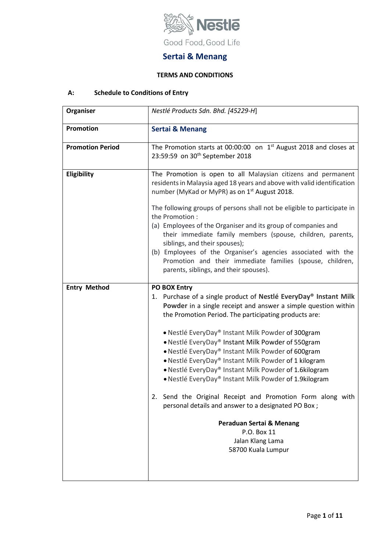

# **Sertai & Menang**

# **TERMS AND CONDITIONS**

# **A: Schedule to Conditions of Entry**

| Nestlé Products Sdn. Bhd. [45229-H]                                                                                                                                                                                                                                                                                                                                                                                                                                                                                                                                                                                                                                                                                                                               |
|-------------------------------------------------------------------------------------------------------------------------------------------------------------------------------------------------------------------------------------------------------------------------------------------------------------------------------------------------------------------------------------------------------------------------------------------------------------------------------------------------------------------------------------------------------------------------------------------------------------------------------------------------------------------------------------------------------------------------------------------------------------------|
| <b>Sertai &amp; Menang</b>                                                                                                                                                                                                                                                                                                                                                                                                                                                                                                                                                                                                                                                                                                                                        |
| The Promotion starts at 00:00:00 on $1st$ August 2018 and closes at<br>23:59:59 on 30 <sup>th</sup> September 2018                                                                                                                                                                                                                                                                                                                                                                                                                                                                                                                                                                                                                                                |
| The Promotion is open to all Malaysian citizens and permanent<br>residents in Malaysia aged 18 years and above with valid identification<br>number (MyKad or MyPR) as on 1 <sup>st</sup> August 2018.                                                                                                                                                                                                                                                                                                                                                                                                                                                                                                                                                             |
| The following groups of persons shall not be eligible to participate in<br>the Promotion:<br>(a) Employees of the Organiser and its group of companies and<br>their immediate family members (spouse, children, parents,<br>siblings, and their spouses);<br>(b) Employees of the Organiser's agencies associated with the<br>Promotion and their immediate families (spouse, children,<br>parents, siblings, and their spouses).                                                                                                                                                                                                                                                                                                                                 |
| PO BOX Entry<br>1. Purchase of a single product of Nestlé EveryDay® Instant Milk<br>Powder in a single receipt and answer a simple question within<br>the Promotion Period. The participating products are:<br>• Nestlé EveryDay® Instant Milk Powder of 300gram<br>• Nestlé EveryDay® Instant Milk Powder of 550gram<br>• Nestlé EveryDay® Instant Milk Powder of 600gram<br>• Nestlé EveryDay® Instant Milk Powder of 1 kilogram<br>. Nestlé EveryDay® Instant Milk Powder of 1.6kilogram<br>. Nestlé EveryDay® Instant Milk Powder of 1.9kilogram<br>Send the Original Receipt and Promotion Form along with<br>2.<br>personal details and answer to a designated PO Box;<br>Peraduan Sertai & Menang<br>P.O. Box 11<br>Jalan Klang Lama<br>58700 Kuala Lumpur |
|                                                                                                                                                                                                                                                                                                                                                                                                                                                                                                                                                                                                                                                                                                                                                                   |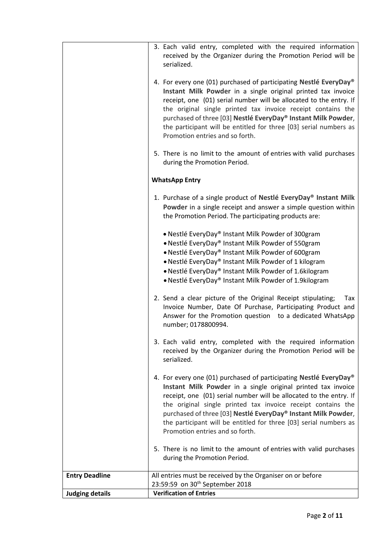|                        | 3. Each valid entry, completed with the required information<br>received by the Organizer during the Promotion Period will be<br>serialized.                                                                                                                                                                                                                                                                                                     |
|------------------------|--------------------------------------------------------------------------------------------------------------------------------------------------------------------------------------------------------------------------------------------------------------------------------------------------------------------------------------------------------------------------------------------------------------------------------------------------|
|                        | 4. For every one (01) purchased of participating Nestlé EveryDay®<br>Instant Milk Powder in a single original printed tax invoice<br>receipt, one (01) serial number will be allocated to the entry. If<br>the original single printed tax invoice receipt contains the<br>purchased of three [03] Nestlé EveryDay® Instant Milk Powder,<br>the participant will be entitled for three [03] serial numbers as<br>Promotion entries and so forth. |
|                        | 5. There is no limit to the amount of entries with valid purchases<br>during the Promotion Period.                                                                                                                                                                                                                                                                                                                                               |
|                        | <b>WhatsApp Entry</b>                                                                                                                                                                                                                                                                                                                                                                                                                            |
|                        | 1. Purchase of a single product of Nestlé EveryDay® Instant Milk<br>Powder in a single receipt and answer a simple question within<br>the Promotion Period. The participating products are:                                                                                                                                                                                                                                                      |
|                        | • Nestlé EveryDay® Instant Milk Powder of 300gram<br>• Nestlé EveryDay® Instant Milk Powder of 550gram<br>• Nestlé EveryDay® Instant Milk Powder of 600gram<br>• Nestlé EveryDay® Instant Milk Powder of 1 kilogram<br>• Nestlé EveryDay® Instant Milk Powder of 1.6kilogram<br>• Nestlé EveryDay® Instant Milk Powder of 1.9kilogram                                                                                                            |
|                        | 2. Send a clear picture of the Original Receipt stipulating;<br>Tax<br>Invoice Number, Date Of Purchase, Participating Product and<br>Answer for the Promotion question to a dedicated WhatsApp<br>number; 0178800994.                                                                                                                                                                                                                           |
|                        | 3. Each valid entry, completed with the required information<br>received by the Organizer during the Promotion Period will be<br>serialized.                                                                                                                                                                                                                                                                                                     |
|                        | 4. For every one (01) purchased of participating Nestlé EveryDay®<br>Instant Milk Powder in a single original printed tax invoice<br>receipt, one (01) serial number will be allocated to the entry. If<br>the original single printed tax invoice receipt contains the<br>purchased of three [03] Nestlé EveryDay® Instant Milk Powder,<br>the participant will be entitled for three [03] serial numbers as<br>Promotion entries and so forth. |
|                        | 5. There is no limit to the amount of entries with valid purchases<br>during the Promotion Period.                                                                                                                                                                                                                                                                                                                                               |
| <b>Entry Deadline</b>  | All entries must be received by the Organiser on or before                                                                                                                                                                                                                                                                                                                                                                                       |
|                        | 23:59:59 on 30 <sup>th</sup> September 2018<br><b>Verification of Entries</b>                                                                                                                                                                                                                                                                                                                                                                    |
| <b>Judging details</b> |                                                                                                                                                                                                                                                                                                                                                                                                                                                  |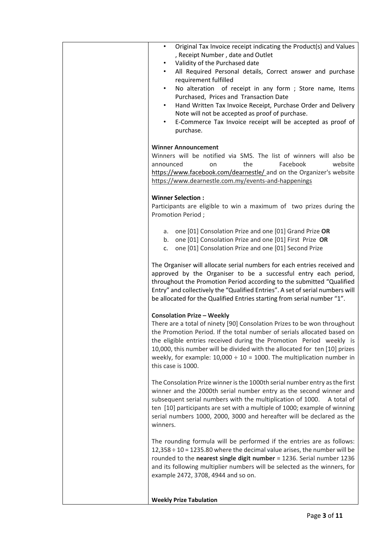| Original Tax Invoice receipt indicating the Product(s) and Values<br>$\bullet$<br>, Receipt Number, date and Outlet                                      |
|----------------------------------------------------------------------------------------------------------------------------------------------------------|
| Validity of the Purchased date<br>$\bullet$<br>All Required Personal details, Correct answer and purchase<br>$\bullet$                                   |
| requirement fulfilled<br>No alteration of receipt in any form; Store name, Items<br>$\bullet$                                                            |
| Purchased, Prices and Transaction Date<br>Hand Written Tax Invoice Receipt, Purchase Order and Delivery<br>$\bullet$                                     |
| Note will not be accepted as proof of purchase.<br>E-Commerce Tax Invoice receipt will be accepted as proof of<br>٠                                      |
| purchase.                                                                                                                                                |
| <b>Winner Announcement</b>                                                                                                                               |
| Winners will be notified via SMS. The list of winners will also be<br>the<br>Facebook<br>website<br>announced<br>on                                      |
| https://www.facebook.com/dearnestle/ and on the Organizer's website<br>https://www.dearnestle.com.my/events-and-happenings                               |
| <b>Winner Selection:</b>                                                                                                                                 |
| Participants are eligible to win a maximum of two prizes during the<br>Promotion Period;                                                                 |
| a. one [01] Consolation Prize and one [01] Grand Prize OR                                                                                                |
| b. one [01] Consolation Prize and one [01] First Prize OR<br>c. one [01] Consolation Prize and one [01] Second Prize                                     |
| The Organiser will allocate serial numbers for each entries received and                                                                                 |
| approved by the Organiser to be a successful entry each period,<br>throughout the Promotion Period according to the submitted "Qualified                 |
| Entry" and collectively the "Qualified Entries". A set of serial numbers will<br>be allocated for the Qualified Entries starting from serial number "1". |
| <b>Consolation Prize - Weekly</b>                                                                                                                        |
| There are a total of ninety [90] Consolation Prizes to be won throughout<br>the Promotion Period. If the total number of serials allocated based on      |
| the eligible entries received during the Promotion Period weekly is<br>10,000, this number will be divided with the allocated for ten [10] prizes        |
| weekly, for example: $10,000 \div 10 = 1000$ . The multiplication number in                                                                              |
| this case is 1000.                                                                                                                                       |
| The Consolation Prize winner is the 1000th serial number entry as the first<br>winner and the 2000th serial number entry as the second winner and        |
| subsequent serial numbers with the multiplication of 1000.<br>A total of                                                                                 |
| ten [10] participants are set with a multiple of 1000; example of winning<br>serial numbers 1000, 2000, 3000 and hereafter will be declared as the       |
| winners.                                                                                                                                                 |
| The rounding formula will be performed if the entries are as follows:<br>$12,358 \div 10 = 1235.80$ where the decimal value arises, the number will be   |
| rounded to the nearest single digit number = 1236. Serial number 1236                                                                                    |
| and its following multiplier numbers will be selected as the winners, for<br>example 2472, 3708, 4944 and so on.                                         |
| <b>Weekly Prize Tabulation</b>                                                                                                                           |
|                                                                                                                                                          |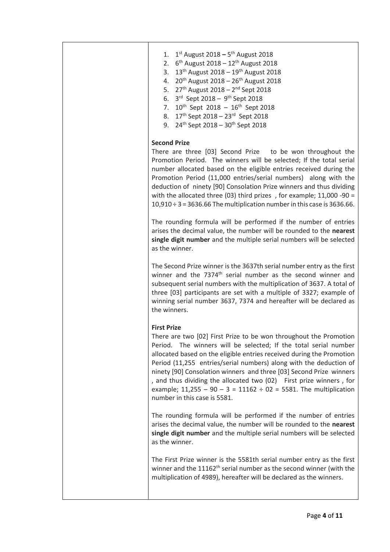| $1^{st}$ August 2018 – 5 <sup>th</sup> August 2018<br>1.<br>$6^{th}$ August 2018 – 12 <sup>th</sup> August 2018<br>2.<br>13 <sup>th</sup> August 2018 - 19 <sup>th</sup> August 2018<br>3.<br>20 <sup>th</sup> August 2018 - 26 <sup>th</sup> August 2018<br>4.<br>27th August 2018 - 2 <sup>nd</sup> Sept 2018<br>5.<br>3rd Sept 2018 - 9th Sept 2018<br>6.<br>$10^{th}$ Sept 2018 - $16^{th}$ Sept 2018<br>7.<br>17th Sept 2018 - 23rd Sept 2018<br>8.<br>24 <sup>th</sup> Sept 2018 - 30 <sup>th</sup> Sept 2018<br>9.                                             |
|-----------------------------------------------------------------------------------------------------------------------------------------------------------------------------------------------------------------------------------------------------------------------------------------------------------------------------------------------------------------------------------------------------------------------------------------------------------------------------------------------------------------------------------------------------------------------|
| <b>Second Prize</b><br>There are three [03] Second Prize to be won throughout the<br>Promotion Period. The winners will be selected; If the total serial<br>number allocated based on the eligible entries received during the<br>Promotion Period (11,000 entries/serial numbers) along with the<br>deduction of ninety [90] Consolation Prize winners and thus dividing<br>with the allocated three (03) third prizes, for example; $11,000 - 90 =$<br>$10,910 \div 3 = 3636.66$ The multiplication number in this case is 3636.66.                                 |
| The rounding formula will be performed if the number of entries<br>arises the decimal value, the number will be rounded to the nearest<br>single digit number and the multiple serial numbers will be selected<br>as the winner.                                                                                                                                                                                                                                                                                                                                      |
| The Second Prize winner is the 3637th serial number entry as the first<br>winner and the 7374 <sup>th</sup> serial number as the second winner and<br>subsequent serial numbers with the multiplication of 3637. A total of<br>three [03] participants are set with a multiple of 3327; example of<br>winning serial number 3637, 7374 and hereafter will be declared as<br>the winners.                                                                                                                                                                              |
| <b>First Prize</b><br>There are two [02] First Prize to be won throughout the Promotion<br>The winners will be selected; If the total serial number<br>Period.<br>allocated based on the eligible entries received during the Promotion<br>Period (11,255 entries/serial numbers) along with the deduction of<br>ninety [90] Consolation winners and three [03] Second Prize winners<br>, and thus dividing the allocated two (02) First prize winners, for<br>example; $11,255 - 90 - 3 = 11162 \div 02 = 5581$ . The multiplication<br>number in this case is 5581. |
| The rounding formula will be performed if the number of entries<br>arises the decimal value, the number will be rounded to the nearest<br>single digit number and the multiple serial numbers will be selected<br>as the winner.                                                                                                                                                                                                                                                                                                                                      |
| The First Prize winner is the 5581th serial number entry as the first<br>winner and the $11162th$ serial number as the second winner (with the<br>multiplication of 4989), hereafter will be declared as the winners.                                                                                                                                                                                                                                                                                                                                                 |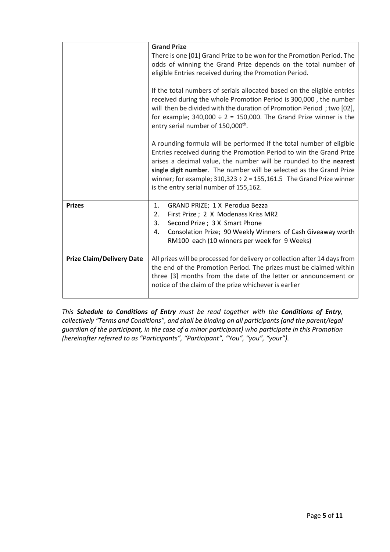|                                  | <b>Grand Prize</b><br>There is one [01] Grand Prize to be won for the Promotion Period. The<br>odds of winning the Grand Prize depends on the total number of<br>eligible Entries received during the Promotion Period.<br>If the total numbers of serials allocated based on the eligible entries<br>received during the whole Promotion Period is 300,000, the number<br>will then be divided with the duration of Promotion Period; two [02],<br>for example; $340,000 \div 2 = 150,000$ . The Grand Prize winner is the<br>entry serial number of 150,000 <sup>th</sup> . |
|----------------------------------|-------------------------------------------------------------------------------------------------------------------------------------------------------------------------------------------------------------------------------------------------------------------------------------------------------------------------------------------------------------------------------------------------------------------------------------------------------------------------------------------------------------------------------------------------------------------------------|
|                                  | A rounding formula will be performed if the total number of eligible<br>Entries received during the Promotion Period to win the Grand Prize<br>arises a decimal value, the number will be rounded to the nearest<br>single digit number. The number will be selected as the Grand Prize<br>winner; for example; $310,323 \div 2 = 155,161.5$ The Grand Prize winner<br>is the entry serial number of 155,162.                                                                                                                                                                 |
| <b>Prizes</b>                    | 1.<br>GRAND PRIZE; 1 X Perodua Bezza<br>First Prize ; 2 X Modenass Kriss MR2<br>2.<br>3.<br>Second Prize ; 3 X Smart Phone<br>Consolation Prize; 90 Weekly Winners of Cash Giveaway worth<br>4.<br>RM100 each (10 winners per week for 9 Weeks)                                                                                                                                                                                                                                                                                                                               |
| <b>Prize Claim/Delivery Date</b> | All prizes will be processed for delivery or collection after 14 days from<br>the end of the Promotion Period. The prizes must be claimed within<br>three [3] months from the date of the letter or announcement or<br>notice of the claim of the prize whichever is earlier                                                                                                                                                                                                                                                                                                  |

*This Schedule to Conditions of Entry must be read together with the Conditions of Entry, collectively "Terms and Conditions", and shall be binding on all participants (and the parent/legal guardian of the participant, in the case of a minor participant) who participate in this Promotion (hereinafter referred to as "Participants", "Participant", "You", "you", "your").*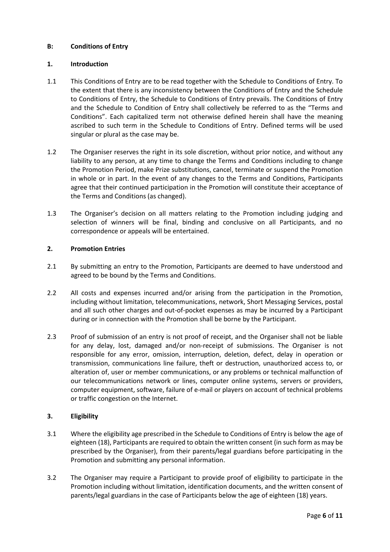## **B: Conditions of Entry**

## **1. Introduction**

- 1.1 This Conditions of Entry are to be read together with the Schedule to Conditions of Entry. To the extent that there is any inconsistency between the Conditions of Entry and the Schedule to Conditions of Entry, the Schedule to Conditions of Entry prevails. The Conditions of Entry and the Schedule to Condition of Entry shall collectively be referred to as the "Terms and Conditions". Each capitalized term not otherwise defined herein shall have the meaning ascribed to such term in the Schedule to Conditions of Entry. Defined terms will be used singular or plural as the case may be.
- 1.2 The Organiser reserves the right in its sole discretion, without prior notice, and without any liability to any person, at any time to change the Terms and Conditions including to change the Promotion Period, make Prize substitutions, cancel, terminate or suspend the Promotion in whole or in part. In the event of any changes to the Terms and Conditions, Participants agree that their continued participation in the Promotion will constitute their acceptance of the Terms and Conditions (as changed).
- 1.3 The Organiser's decision on all matters relating to the Promotion including judging and selection of winners will be final, binding and conclusive on all Participants, and no correspondence or appeals will be entertained.

## **2. Promotion Entries**

- 2.1 By submitting an entry to the Promotion, Participants are deemed to have understood and agreed to be bound by the Terms and Conditions.
- 2.2 All costs and expenses incurred and/or arising from the participation in the Promotion, including without limitation, telecommunications, network, Short Messaging Services, postal and all such other charges and out-of-pocket expenses as may be incurred by a Participant during or in connection with the Promotion shall be borne by the Participant.
- 2.3 Proof of submission of an entry is not proof of receipt, and the Organiser shall not be liable for any delay, lost, damaged and/or non-receipt of submissions. The Organiser is not responsible for any error, omission, interruption, deletion, defect, delay in operation or transmission, communications line failure, theft or destruction, unauthorized access to, or alteration of, user or member communications, or any problems or technical malfunction of our telecommunications network or lines, computer online systems, servers or providers, computer equipment, software, failure of e-mail or players on account of technical problems or traffic congestion on the Internet.

## **3. Eligibility**

- 3.1 Where the eligibility age prescribed in the Schedule to Conditions of Entry is below the age of eighteen (18), Participants are required to obtain the written consent (in such form as may be prescribed by the Organiser), from their parents/legal guardians before participating in the Promotion and submitting any personal information.
- 3.2 The Organiser may require a Participant to provide proof of eligibility to participate in the Promotion including without limitation, identification documents, and the written consent of parents/legal guardians in the case of Participants below the age of eighteen (18) years.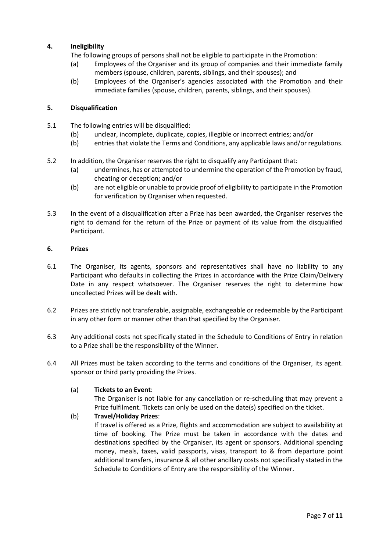# **4. Ineligibility**

The following groups of persons shall not be eligible to participate in the Promotion:

- (a) Employees of the Organiser and its group of companies and their immediate family members (spouse, children, parents, siblings, and their spouses); and
- (b) Employees of the Organiser's agencies associated with the Promotion and their immediate families (spouse, children, parents, siblings, and their spouses).

## **5. Disqualification**

- 5.1 The following entries will be disqualified:
	- (b) unclear, incomplete, duplicate, copies, illegible or incorrect entries; and/or
	- (b) entries that violate the Terms and Conditions, any applicable laws and/or regulations.
- 5.2 In addition, the Organiser reserves the right to disqualify any Participant that:
	- (a) undermines, has or attempted to undermine the operation of the Promotion by fraud, cheating or deception; and/or
	- (b) are not eligible or unable to provide proof of eligibility to participate in the Promotion for verification by Organiser when requested.
- 5.3 In the event of a disqualification after a Prize has been awarded, the Organiser reserves the right to demand for the return of the Prize or payment of its value from the disqualified Participant.

## **6. Prizes**

- 6.1 The Organiser, its agents, sponsors and representatives shall have no liability to any Participant who defaults in collecting the Prizes in accordance with the Prize Claim/Delivery Date in any respect whatsoever. The Organiser reserves the right to determine how uncollected Prizes will be dealt with.
- 6.2 Prizes are strictly not transferable, assignable, exchangeable or redeemable by the Participant in any other form or manner other than that specified by the Organiser.
- 6.3 Any additional costs not specifically stated in the Schedule to Conditions of Entry in relation to a Prize shall be the responsibility of the Winner.
- 6.4 All Prizes must be taken according to the terms and conditions of the Organiser, its agent. sponsor or third party providing the Prizes.

## (a) **Tickets to an Event**:

The Organiser is not liable for any cancellation or re-scheduling that may prevent a Prize fulfilment. Tickets can only be used on the date(s) specified on the ticket.

# (b) **Travel/Holiday Prizes**:

If travel is offered as a Prize, flights and accommodation are subject to availability at time of booking. The Prize must be taken in accordance with the dates and destinations specified by the Organiser, its agent or sponsors. Additional spending money, meals, taxes, valid passports, visas, transport to & from departure point additional transfers, insurance & all other ancillary costs not specifically stated in the Schedule to Conditions of Entry are the responsibility of the Winner.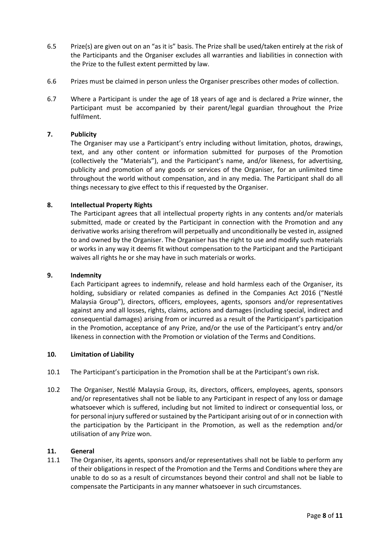- 6.5 Prize(s) are given out on an "as it is" basis. The Prize shall be used/taken entirely at the risk of the Participants and the Organiser excludes all warranties and liabilities in connection with the Prize to the fullest extent permitted by law.
- 6.6 Prizes must be claimed in person unless the Organiser prescribes other modes of collection.
- 6.7 Where a Participant is under the age of 18 years of age and is declared a Prize winner, the Participant must be accompanied by their parent/legal guardian throughout the Prize fulfilment.

## **7. Publicity**

The Organiser may use a Participant's entry including without limitation, photos, drawings, text, and any other content or information submitted for purposes of the Promotion (collectively the "Materials"), and the Participant's name, and/or likeness, for advertising, publicity and promotion of any goods or services of the Organiser, for an unlimited time throughout the world without compensation, and in any media. The Participant shall do all things necessary to give effect to this if requested by the Organiser.

#### **8. Intellectual Property Rights**

The Participant agrees that all intellectual property rights in any contents and/or materials submitted, made or created by the Participant in connection with the Promotion and any derivative works arising therefrom will perpetually and unconditionally be vested in, assigned to and owned by the Organiser. The Organiser has the right to use and modify such materials or works in any way it deems fit without compensation to the Participant and the Participant waives all rights he or she may have in such materials or works.

#### **9. Indemnity**

Each Participant agrees to indemnify, release and hold harmless each of the Organiser, its holding, subsidiary or related companies as defined in the Companies Act 2016 ("Nestlé Malaysia Group"), directors, officers, employees, agents, sponsors and/or representatives against any and all losses, rights, claims, actions and damages (including special, indirect and consequential damages) arising from or incurred as a result of the Participant's participation in the Promotion, acceptance of any Prize, and/or the use of the Participant's entry and/or likeness in connection with the Promotion or violation of the Terms and Conditions.

#### **10. Limitation of Liability**

- 10.1 The Participant's participation in the Promotion shall be at the Participant's own risk.
- 10.2 The Organiser, Nestlé Malaysia Group, its, directors, officers, employees, agents, sponsors and/or representatives shall not be liable to any Participant in respect of any loss or damage whatsoever which is suffered, including but not limited to indirect or consequential loss, or for personal injury suffered or sustained by the Participant arising out of or in connection with the participation by the Participant in the Promotion, as well as the redemption and/or utilisation of any Prize won.

#### **11. General**

11.1 The Organiser, its agents, sponsors and/or representatives shall not be liable to perform any of their obligations in respect of the Promotion and the Terms and Conditions where they are unable to do so as a result of circumstances beyond their control and shall not be liable to compensate the Participants in any manner whatsoever in such circumstances.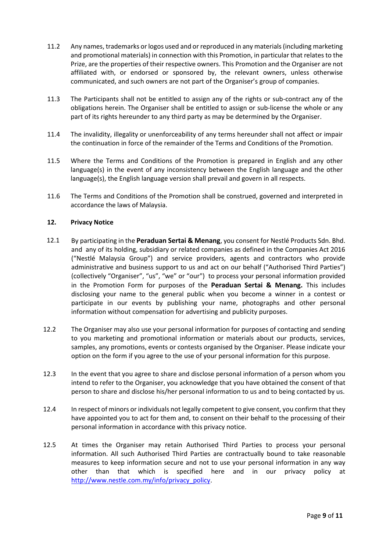- 11.2 Any names, trademarks or logos used and or reproduced in any materials (including marketing and promotional materials) in connection with this Promotion, in particular that relates to the Prize, are the properties of their respective owners. This Promotion and the Organiser are not affiliated with, or endorsed or sponsored by, the relevant owners, unless otherwise communicated, and such owners are not part of the Organiser's group of companies.
- 11.3 The Participants shall not be entitled to assign any of the rights or sub-contract any of the obligations herein. The Organiser shall be entitled to assign or sub-license the whole or any part of its rights hereunder to any third party as may be determined by the Organiser.
- 11.4 The invalidity, illegality or unenforceability of any terms hereunder shall not affect or impair the continuation in force of the remainder of the Terms and Conditions of the Promotion.
- 11.5 Where the Terms and Conditions of the Promotion is prepared in English and any other language(s) in the event of any inconsistency between the English language and the other language(s), the English language version shall prevail and govern in all respects.
- 11.6 The Terms and Conditions of the Promotion shall be construed, governed and interpreted in accordance the laws of Malaysia.

## **12. Privacy Notice**

- 12.1 By participating in the **Peraduan Sertai & Menang**, you consent for Nestlé Products Sdn. Bhd. and any of its holding, subsidiary or related companies as defined in the Companies Act 2016 ("Nestlé Malaysia Group") and service providers, agents and contractors who provide administrative and business support to us and act on our behalf ("Authorised Third Parties") (collectively "Organiser", "us", "we" or "our") to process your personal information provided in the Promotion Form for purposes of the **Peraduan Sertai & Menang.** This includes disclosing your name to the general public when you become a winner in a contest or participate in our events by publishing your name, photographs and other personal information without compensation for advertising and publicity purposes.
- 12.2 The Organiser may also use your personal information for purposes of contacting and sending to you marketing and promotional information or materials about our products, services, samples, any promotions, events or contests organised by the Organiser. Please indicate your option on the form if you agree to the use of your personal information for this purpose.
- 12.3 In the event that you agree to share and disclose personal information of a person whom you intend to refer to the Organiser, you acknowledge that you have obtained the consent of that person to share and disclose his/her personal information to us and to being contacted by us.
- 12.4 In respect of minors or individuals not legally competent to give consent, you confirm that they have appointed you to act for them and, to consent on their behalf to the processing of their personal information in accordance with this privacy notice.
- 12.5 At times the Organiser may retain Authorised Third Parties to process your personal information. All such Authorised Third Parties are contractually bound to take reasonable measures to keep information secure and not to use your personal information in any way other than that which is specified here and in our privacy policy at [http://www.nestle.com.my/info/privacy\\_policy.](http://www.nestle.com.my/info/privacy_policy)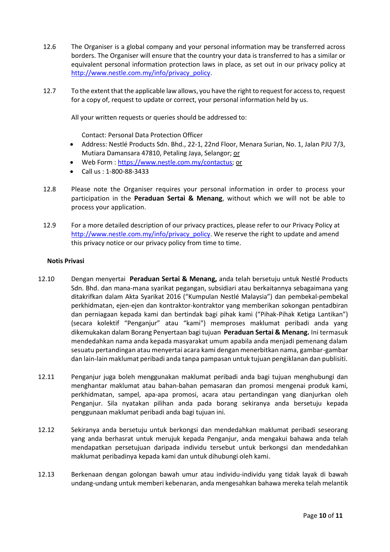- 12.6 The Organiser is a global company and your personal information may be transferred across borders. The Organiser will ensure that the country your data is transferred to has a similar or equivalent personal information protection laws in place, as set out in our privacy policy at [http://www.nestle.com.my/info/privacy\\_policy.](http://www.nestle.com.my/info/privacy_policy)
- 12.7 To the extent that the applicable law allows, you have the right to request for access to, request for a copy of, request to update or correct, your personal information held by us.

All your written requests or queries should be addressed to:

Contact: Personal Data Protection Officer

- Address: Nestlé Products Sdn. Bhd., 22-1, 22nd Floor, Menara Surian, No. 1, Jalan PJU 7/3, Mutiara Damansara 47810, Petaling Jaya, Selangor; or
- Web Form : [https://www.nestle.com.my/contactus;](https://www.nestle.com.my/contactus) or
- Call us : 1-800-88-3433
- 12.8 Please note the Organiser requires your personal information in order to process your participation in the **Peraduan Sertai & Menang**, without which we will not be able to process your application.
- 12.9 For a more detailed description of our privacy practices, please refer to our Privacy Policy at [http://www.nestle.com.my/info/privacy\\_policy.](http://www.nestle.com.my/info/privacy_policy) We reserve the right to update and amend this privacy notice or our privacy policy from time to time.

#### **Notis Privasi**

- 12.10 Dengan menyertai **Peraduan Sertai & Menang,** anda telah bersetuju untuk Nestlé Products Sdn. Bhd. dan mana-mana syarikat pegangan, subsidiari atau berkaitannya sebagaimana yang ditakrifkan dalam Akta Syarikat 2016 ("Kumpulan Nestlé Malaysia") dan pembekal-pembekal perkhidmatan, ejen-ejen dan kontraktor-kontraktor yang memberikan sokongan pentadbiran dan perniagaan kepada kami dan bertindak bagi pihak kami ("Pihak-Pihak Ketiga Lantikan") (secara kolektif "Penganjur" atau "kami") memproses maklumat peribadi anda yang dikemukakan dalam Borang Penyertaan bagi tujuan **Peraduan Sertai & Menang.** Ini termasuk mendedahkan nama anda kepada masyarakat umum apabila anda menjadi pemenang dalam sesuatu pertandingan atau menyertai acara kami dengan menerbitkan nama, gambar-gambar dan lain-lain maklumat peribadi anda tanpa pampasan untuk tujuan pengiklanan dan publisiti.
- 12.11 Penganjur juga boleh menggunakan maklumat peribadi anda bagi tujuan menghubungi dan menghantar maklumat atau bahan-bahan pemasaran dan promosi mengenai produk kami, perkhidmatan, sampel, apa-apa promosi, acara atau pertandingan yang dianjurkan oleh Penganjur. Sila nyatakan pilihan anda pada borang sekiranya anda bersetuju kepada penggunaan maklumat peribadi anda bagi tujuan ini.
- 12.12 Sekiranya anda bersetuju untuk berkongsi dan mendedahkan maklumat peribadi seseorang yang anda berhasrat untuk merujuk kepada Penganjur, anda mengakui bahawa anda telah mendapatkan persetujuan daripada individu tersebut untuk berkongsi dan mendedahkan maklumat peribadinya kepada kami dan untuk dihubungi oleh kami.
- 12.13 Berkenaan dengan golongan bawah umur atau individu-individu yang tidak layak di bawah undang-undang untuk memberi kebenaran, anda mengesahkan bahawa mereka telah melantik